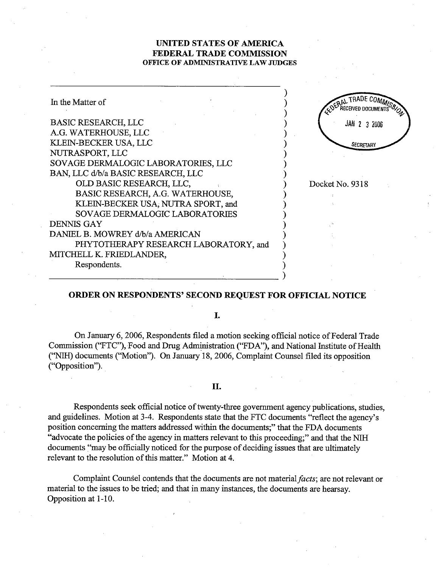## UNITED STATES OF AMRICA FEDERAL TRADE COMMISSION OFFICE OF ADMINISTRATIVE LAW JUDGES

| In the Matter of                      | EDERAL              |
|---------------------------------------|---------------------|
| <b>BASIC RESEARCH, LLC</b>            | <b>JAN 2 3 2006</b> |
| A.G. WATERHOUSE, LLC                  |                     |
| KLEIN-BECKER USA, LLC                 | SECRETARY           |
| NUTRASPORT, LLC                       |                     |
| SOVAGE DERMALOGIC LABORATORIES, LLC   |                     |
| BAN, LLC d/b/a BASIC RESEARCH, LLC    |                     |
| OLD BASIC RESEARCH, LLC,              | Docket No. 9318     |
| BASIC RESEARCH, A.G. WATERHOUSE,      |                     |
| KLEIN-BECKER USA, NUTRA SPORT, and    |                     |
| SOVAGE DERMALOGIC LABORATORIES        |                     |
| <b>DENNIS GAY</b>                     |                     |
| DANIEL B. MOWREY d/b/a AMERICAN       |                     |
| PHYTOTHERAPY RESEARCH LABORATORY, and |                     |
| MITCHELL K. FRIEDLANDER,              |                     |
| Respondents.                          |                     |
|                                       |                     |

## ORDER ON RESPONDENTS' SECOND REQUEST FOR OFFICIAL NOTICE

I.

On January 6, 2006, Respondents filed a motion seeking official notice of Federal Trade Commission ("FTC"), Food and Drug Administration ("FDA"), and National Institute of Health ('NIH) documents (''Motion''). On January 18, 2006, Complaint Counsel filed its opposition ("Opposition").

## II.

Respondents seek official notice of twenty-three government agency publications, studies, and guidelines. Motion at 3-4. Respondents state that the FTC documents "reflect the agency's position concerning the matters addressed within the documents;" that the FDA documents "advocate the policies of the agency in matters relevant to this proceeding;" and that the NIH documents "may be officially noticed for the purose of deciding issues that are ultimately relevant to the resolution of this matter." Motion at 4.

Complaint Counsel contends that the documents are not material facts; are not relevant or material to the issues to be tried; and that in many instances, the documents are hearsay. Opposition at 1-10.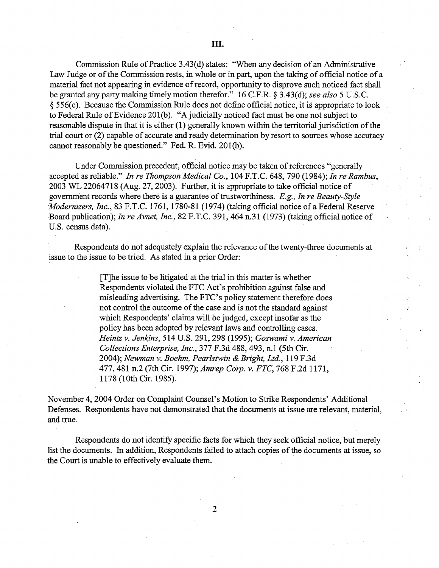Commission Rule of Practice 3.43(d) states: "When any decision of an Administrative Law Judge or of the Commission rests, in whole or in part, upon the taking of official notice of a material fact not appearing in evidence of record, opportunity to disprove such noticed fact shall be granted any party making timely motion therefor." 16 C.F.R.  $\S$  3.43(d); see also 5 U.S.C.  $§$  556(e). Because the Commission Rule does not define official notice, it is appropriate to look to Federal Rule of Evidence 20l(b). "A judicially noticed fact must be one not subject to reasonable dispute in that it is either  $(1)$  generally known within the territorial jurisdiction of the trial court or (2) capable of accurate and ready determination by resort to sources whose accuracy cannot reasonably be questioned." Fed. R. Evid. 201(b).

Under Commission precedent, official notice may be taken of references "generally accepted as reliable." In re Thompson Medical Co.,  $104$  F.T.C. 648, 790 (1984); In re Rambus, 2003 WL 22064718 (Aug. 27, 2003). Further, it is appropriate to take official notice of government records where there is a guarantee of trustworthiness.  $E.g.,$  In re Beauty-Style Modernizers, Inc., 83 F.T.C. 1761, 1780-81 (1974) (taking official notice of a Federal Reserve Board publication); In re Avnet, Inc., 82 F.T.C. 391, 464 n.31 (1973) (taking official notice of U.S. census data).

Respondents do not adequately explain the relevance of the twenty-three documents at issue to the issue to be tred. As stated in a prior Order:

> (TJhe issue to be litigated at the tral in this matter is whether Respondents violated the FTC Act's prohibition against false and misleading advertising. The FTC's policy statement therefore does not control the outcome of the case and is not the standard against which Respondents' claims will be judged, except insofar as the policy has been adopted by relevant laws and controlling cases. Heintz v. Jenkins, 514 U.S. 291, 298 (1995); Goswami v. American Collections Enterprise, Inc., 377 F.3d 488, 493, n.1 (5th Cir. 2004); Newman v. Boehm, Pearlstwin & Bright, Ltd., 119 F.3d 477, 481 n.2 (7th Cir. 1997); Amrep Corp. v. FTC, 768 F.2d 1171, 1178 (10th Cir. 1985).

November 4, 2004 Order on Complaint Counsel's Motion to Strike Respondents' Additional Defenses. Respondents have not demonstrated that the documents at issue are relevant, material and true.

Respondents do not identify specific facts for which they seek official notice, but merely list the documents. In addition, Respondents failed to attach copies of the documents at issue, so the Court is unable to effectively evaluate them.

 $\overline{2}$